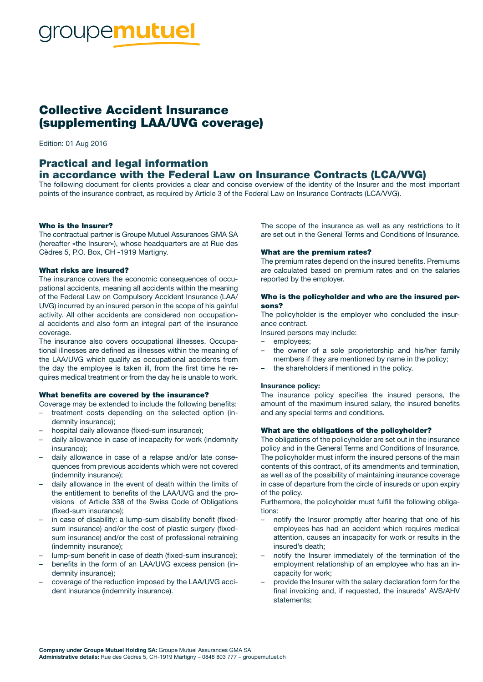# **DUPEmutuel**

### Collective Accident Insurance (supplementing LAA/UVG coverage)

Edition: 01 Aug 2016

## Practical and legal information

#### in accordance with the Federal Law on Insurance Contracts (LCA/VVG)

The following document for clients provides a clear and concise overview of the identity of the Insurer and the most important points of the insurance contract, as required by Article 3 of the Federal Law on Insurance Contracts (LCA/VVG).

#### Who is the Insurer?

The contractual partner is Groupe Mutuel Assurances GMA SA (hereafter «the Insurer»), whose headquarters are at Rue des Cèdres 5, P.O. Box, CH -1919 Martigny.

#### What risks are insured?

The insurance covers the economic consequences of occupational accidents, meaning all accidents within the meaning of the Federal Law on Compulsory Accident Insurance (LAA/ UVG) incurred by an insured person in the scope of his gainful activity. All other accidents are considered non occupational accidents and also form an integral part of the insurance coverage.

The insurance also covers occupational illnesses. Occupational illnesses are defined as illnesses within the meaning of the LAA/UVG which qualify as occupational accidents from the day the employee is taken ill, from the first time he requires medical treatment or from the day he is unable to work.

#### What benefits are covered by the insurance?

Coverage may be extended to include the following benefits:

- treatment costs depending on the selected option (indemnity insurance);
- hospital daily allowance (fixed-sum insurance);
- daily allowance in case of incapacity for work (indemnity insurance);
- daily allowance in case of a relapse and/or late consequences from previous accidents which were not covered (indemnity insurance);
- daily allowance in the event of death within the limits of the entitlement to benefits of the LAA/UVG and the provisions of Article 338 of the Swiss Code of Obligations (fixed-sum insurance);
- in case of disability: a lump-sum disability benefit (fixedsum insurance) and/or the cost of plastic surgery (fixedsum insurance) and/or the cost of professional retraining (indemnity insurance);
- lump-sum benefit in case of death (fixed-sum insurance);
- benefits in the form of an LAA/UVG excess pension (indemnity insurance);
- coverage of the reduction imposed by the LAA/UVG accident insurance (indemnity insurance).

The scope of the insurance as well as any restrictions to it are set out in the General Terms and Conditions of Insurance.

#### What are the premium rates?

The premium rates depend on the insured benefits. Premiums are calculated based on premium rates and on the salaries reported by the employer.

#### Who is the policyholder and who are the insured persons?

The policyholder is the employer who concluded the insurance contract.

Insured persons may include:

- employees;
- the owner of a sole proprietorship and his/her family members if they are mentioned by name in the policy;
- the shareholders if mentioned in the policy.

#### Insurance policy:

The insurance policy specifies the insured persons, the amount of the maximum insured salary, the insured benefits and any special terms and conditions.

#### What are the obligations of the policyholder?

The obligations of the policyholder are set out in the insurance policy and in the General Terms and Conditions of Insurance. The policyholder must inform the insured persons of the main contents of this contract, of its amendments and termination, as well as of the possibility of maintaining insurance coverage in case of departure from the circle of insureds or upon expiry of the policy.

Furthermore, the policyholder must fulfill the following obligations:

- notify the Insurer promptly after hearing that one of his employees has had an accident which requires medical attention, causes an incapacity for work or results in the insured's death;
- notify the Insurer immediately of the termination of the employment relationship of an employee who has an incapacity for work;
- provide the Insurer with the salary declaration form for the final invoicing and, if requested, the insureds' AVS/AHV statements;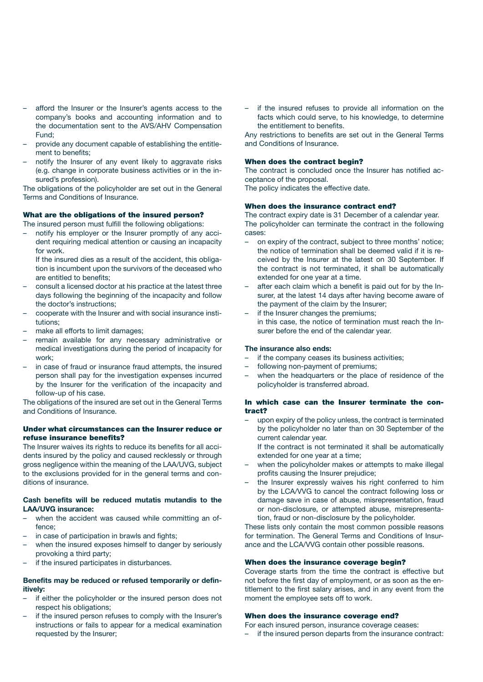- afford the Insurer or the Insurer's agents access to the company's books and accounting information and to the documentation sent to the AVS/AHV Compensation Fund;
- provide any document capable of establishing the entitlement to benefits;
- notify the Insurer of any event likely to aggravate risks (e.g. change in corporate business activities or in the insured's profession).

The obligations of the policyholder are set out in the General Terms and Conditions of Insurance.

#### What are the obligations of the insured person?

The insured person must fulfill the following obligations:

– notify his employer or the Insurer promptly of any accident requiring medical attention or causing an incapacity for work.

If the insured dies as a result of the accident, this obligation is incumbent upon the survivors of the deceased who are entitled to benefits;

- consult a licensed doctor at his practice at the latest three days following the beginning of the incapacity and follow the doctor's instructions;
- cooperate with the Insurer and with social insurance institutions;
- make all efforts to limit damages;
- remain available for any necessary administrative or medical investigations during the period of incapacity for work;
- in case of fraud or insurance fraud attempts, the insured person shall pay for the investigation expenses incurred by the Insurer for the verification of the incapacity and follow-up of his case.

The obligations of the insured are set out in the General Terms and Conditions of Insurance.

#### Under what circumstances can the Insurer reduce or refuse insurance benefits?

The Insurer waives its rights to reduce its benefits for all accidents insured by the policy and caused recklessly or through gross negligence within the meaning of the LAA/UVG, subject to the exclusions provided for in the general terms and conditions of insurance.

#### Cash benefits will be reduced mutatis mutandis to the LAA/UVG insurance:

- when the accident was caused while committing an offence;
- in case of participation in brawls and fights;
- when the insured exposes himself to danger by seriously provoking a third party;
- if the insured participates in disturbances.

#### Benefits may be reduced or refused temporarily or definitively:

- if either the policyholder or the insured person does not respect his obligations;
- if the insured person refuses to comply with the Insurer's instructions or fails to appear for a medical examination requested by the Insurer;

if the insured refuses to provide all information on the facts which could serve, to his knowledge, to determine the entitlement to benefits.

Any restrictions to benefits are set out in the General Terms and Conditions of Insurance.

#### When does the contract begin?

The contract is concluded once the Insurer has notified acceptance of the proposal.

The policy indicates the effective date.

#### When does the insurance contract end?

The contract expiry date is 31 December of a calendar year. The policyholder can terminate the contract in the following cases:

- on expiry of the contract, subject to three months' notice; the notice of termination shall be deemed valid if it is received by the Insurer at the latest on 30 September. If the contract is not terminated, it shall be automatically extended for one year at a time.
- after each claim which a benefit is paid out for by the Insurer, at the latest 14 days after having become aware of the payment of the claim by the Insurer;
- if the Insurer changes the premiums; in this case, the notice of termination must reach the Insurer before the end of the calendar year.

#### The insurance also ends:

- if the company ceases its business activities;
- following non-payment of premiums;
- when the headquarters or the place of residence of the policyholder is transferred abroad.

#### In which case can the Insurer terminate the contract?

upon expiry of the policy unless, the contract is terminated by the policyholder no later than on 30 September of the current calendar year.

If the contract is not terminated it shall be automatically extended for one year at a time;

- when the policyholder makes or attempts to make illegal profits causing the Insurer prejudice;
- the Insurer expressly waives his right conferred to him by the LCA/VVG to cancel the contract following loss or damage save in case of abuse, misrepresentation, fraud or non-disclosure, or attempted abuse, misrepresentation, fraud or non-disclosure by the policyholder.

These lists only contain the most common possible reasons for termination. The General Terms and Conditions of Insurance and the LCA/VVG contain other possible reasons.

#### When does the insurance coverage begin?

Coverage starts from the time the contract is effective but not before the first day of employment, or as soon as the entitlement to the first salary arises, and in any event from the moment the employee sets off to work.

#### When does the insurance coverage end?

For each insured person, insurance coverage ceases:

if the insured person departs from the insurance contract: